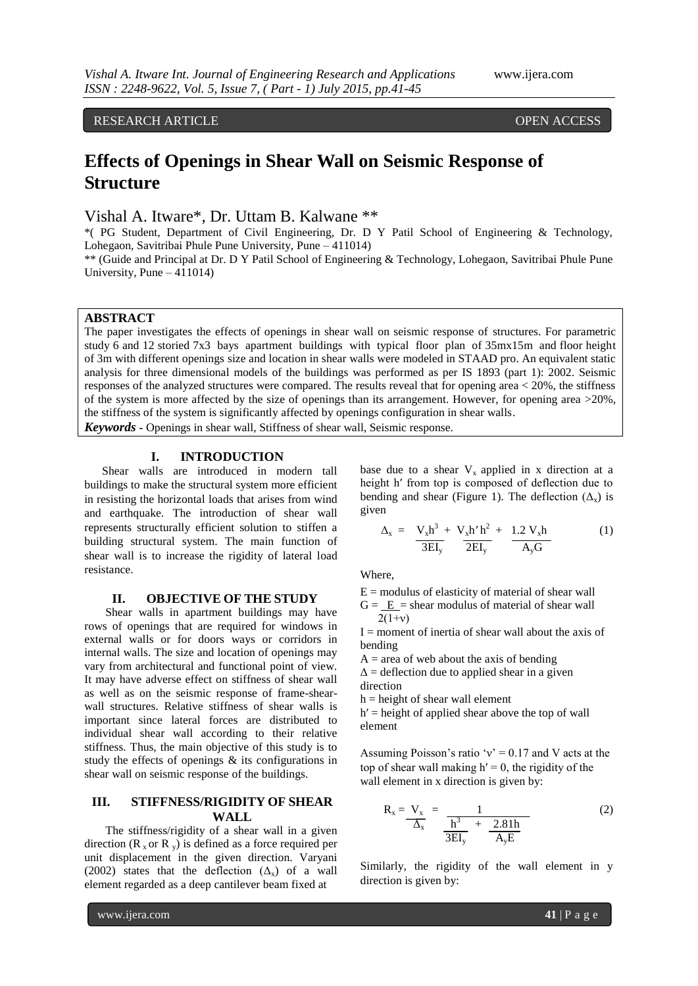# RESEARCH ARTICLE **OPEN ACCESS**

# **Effects of Openings in Shear Wall on Seismic Response of Structure**

Vishal A. Itware\*, Dr. Uttam B. Kalwane \*\*

\*( PG Student, Department of Civil Engineering, Dr. D Y Patil School of Engineering & Technology, Lohegaon, Savitribai Phule Pune University, Pune – 411014)

\*\* (Guide and Principal at Dr. D Y Patil School of Engineering & Technology, Lohegaon, Savitribai Phule Pune University, Pune – 411014)

# **ABSTRACT**

The paper investigates the effects of openings in shear wall on seismic response of structures. For parametric study 6 and 12 storied 7x3 bays apartment buildings with typical floor plan of 35mx15m and floor height of 3m with different openings size and location in shear walls were modeled in STAAD pro. An equivalent static analysis for three dimensional models of the buildings was performed as per IS 1893 (part 1): 2002. Seismic responses of the analyzed structures were compared. The results reveal that for opening area < 20%, the stiffness of the system is more affected by the size of openings than its arrangement. However, for opening area >20%, the stiffness of the system is significantly affected by openings configuration in shear walls. *Keywords* **-** Openings in shear wall, Stiffness of shear wall, Seismic response.

### **I. INTRODUCTION**

 Shear walls are introduced in modern tall buildings to make the structural system more efficient in resisting the horizontal loads that arises from wind and earthquake. The introduction of shear wall represents structurally efficient solution to stiffen a building structural system. The main function of shear wall is to increase the rigidity of lateral load resistance.

# **II. OBJECTIVE OF THE STUDY**

Shear walls in apartment buildings may have rows of openings that are required for windows in external walls or for doors ways or corridors in internal walls. The size and location of openings may vary from architectural and functional point of view. It may have adverse effect on stiffness of shear wall as well as on the seismic response of frame-shearwall structures. Relative stiffness of shear walls is important since lateral forces are distributed to individual shear wall according to their relative stiffness. Thus, the main objective of this study is to study the effects of openings & its configurations in shear wall on seismic response of the buildings.

# **III. STIFFNESS/RIGIDITY OF SHEAR WALL**

The stiffness/rigidity of a shear wall in a given direction  $(R_x$  or  $R_y$ ) is defined as a force required per unit displacement in the given direction. Varyani (2002) states that the deflection  $(\Delta_x)$  of a wall element regarded as a deep cantilever beam fixed at

base due to a shear  $V_x$  applied in x direction at a height h′ from top is composed of deflection due to bending and shear (Figure 1). The deflection  $(\Delta_x)$  is given

$$
\Delta_{\mathbf{x}} = \frac{\mathbf{V}_{\mathbf{x}} \mathbf{h}^3 + \mathbf{V}_{\mathbf{x}} \mathbf{h}' \mathbf{h}^2}{3 \mathbf{E} \mathbf{I}_{\mathbf{y}}} + \frac{1.2 \mathbf{V}_{\mathbf{x}} \mathbf{h}}{A_{\mathbf{y}} \mathbf{G}}
$$
(1)

Where,

 $E =$  modulus of elasticity of material of shear wall  $G = E$  = shear modulus of material of shear wall

$$
2(1+v)
$$

 $I =$  moment of inertia of shear wall about the axis of bending

 $A =$  area of web about the axis of bending  $\Delta$  = deflection due to applied shear in a given direction

 $h = height of shear wall element$ 

 $h'$  = height of applied shear above the top of wall element

Assuming Poisson's ratio ' $v' = 0.17$  and V acts at the top of shear wall making  $h' = 0$ , the rigidity of the wall element in x direction is given by:

$$
R_x = \frac{V_x}{\Delta_x} = \frac{1}{\frac{h^3}{3EI_y} + \frac{2.81h}{A_yE}}
$$
 (2)

Similarly, the rigidity of the wall element in y direction is given by: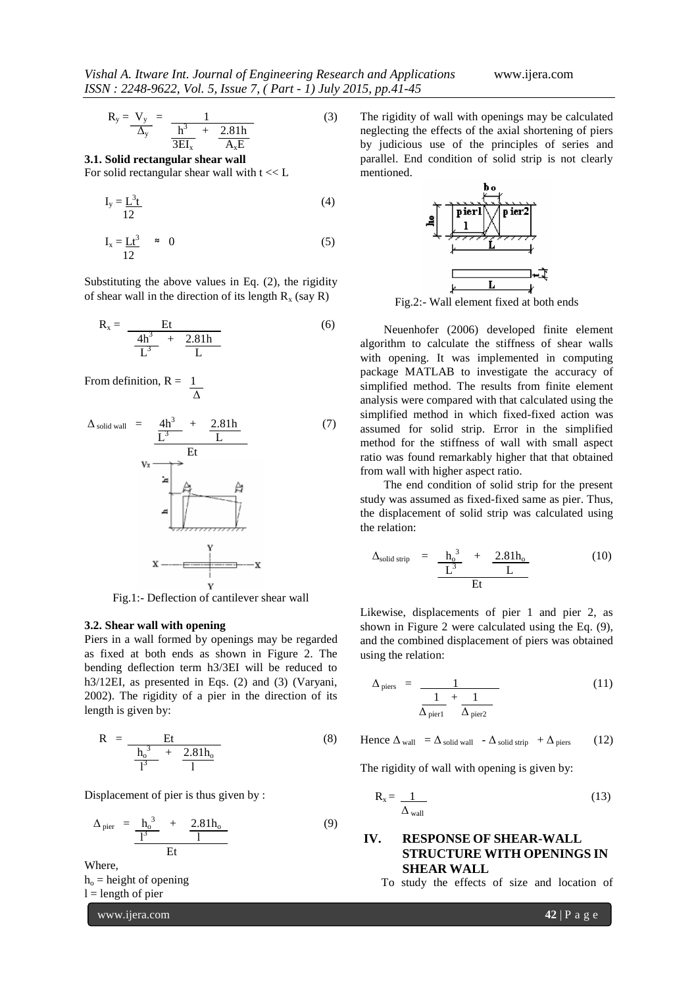$$
R_y = \frac{V_y}{\Delta_y} = \frac{1}{\frac{h^3}{3EI_x} + \frac{2.81h}{A_xE}}
$$
(3)

**3.1. Solid rectangular shear wall** For solid rectangular shear wall with  $t \ll L$ 

$$
I_y = \frac{L^3 t}{12} \tag{4}
$$

$$
I_x = \underline{Lt}^3 \approx 0 \tag{5}
$$

Substituting the above values in Eq. (2), the rigidity of shear wall in the direction of its length  $R_x$  (say R)

$$
R_x = \frac{Et}{\frac{4h^3}{L^3} + \frac{2.81h}{L}}
$$
 (6)

From definition,  $R = 1$ Δ

$$
\Delta_{\text{solid wall}} = \frac{4h^3}{\frac{L^3}{L^3} + \frac{2.81h}{L}}
$$
\n
$$
V_x \longrightarrow E_t
$$
\n
$$
= \frac{4h^3}{\frac{L^3}{L^3}}
$$
\n
$$
= \frac{4h^3}{\frac{L^3}{L^3}}
$$
\n
$$
= \frac{4h^3}{\frac{L^3}{L^3}}
$$
\n
$$
= \frac{4h^3}{\frac{L^3}{L^3}}
$$
\n
$$
= \frac{4h^3}{\frac{L^3}{L^3}}
$$
\n
$$
= \frac{4h^3}{\frac{L^3}{L^3}}
$$
\n
$$
= \frac{4}{\frac{2}{\frac{L^3}{L^3}}}} = \frac{2.81h}{\frac{L^3}{L^3}}
$$
\n
$$
= \frac{4h^3}{\frac{L^3}{L^3}}
$$
\n
$$
= \frac{4}{\frac{L^3}{L^3}}
$$
\n
$$
= \frac{4}{\frac{L^3}{L^3}}
$$
\n
$$
= \frac{4}{\frac{L^3}{L^3}}
$$
\n
$$
= \frac{4}{\frac{L^3}{L^3}}
$$
\n
$$
= \frac{4}{\frac{L^3}{L^3}}
$$
\n
$$
= \frac{4}{\frac{L^3}{L^3}}
$$
\n
$$
= \frac{4}{\frac{L^3}{L^3}}
$$
\n
$$
= \frac{4}{\frac{L^3}{L^3}}
$$
\n
$$
= \frac{4}{\frac{L^3}{L^3}}
$$
\n
$$
= \frac{4}{\frac{L^3}{L^3}}
$$
\n
$$
= \frac{4}{\frac{L^3}{L^3}}
$$
\n
$$
= \frac{4}{\frac{L^3}{L^3}}
$$
\n
$$
= \frac{4}{\frac{L^3}{L^3}}
$$
\n
$$
= \frac{4}{\frac{L^3}{L^3}}
$$
\n
$$
= \frac{4}{\frac{L^3}{L^3}}
$$
\n
$$
= \frac{4}{\frac{L^3}{L^3}}
$$
\n
$$
= \frac{4}{\frac{L^3}{L^3}}
$$
\n

Fig.1:- Deflection of cantilever shear wall

#### **3.2. Shear wall with opening**

Piers in a wall formed by openings may be regarded as fixed at both ends as shown in Figure 2. The bending deflection term h3/3EI will be reduced to h3/12EI, as presented in Eqs. (2) and (3) (Varyani, 2002). The rigidity of a pier in the direction of its length is given by:

$$
R = \frac{Et}{\frac{h_o^3}{I^3} + \frac{2.81h_o}{I}}
$$
 (8)

Displacement of pier is thus given by :

$$
\Delta_{\text{ pier}} = \frac{h_o^3}{\frac{1^3}{\text{Et}}} + \frac{2.81h_o}{1}
$$
 (9)

Where,

 $h<sub>o</sub>$  = height of opening

 $l =$  length of pier

www.ijera.com **42** | P a g e

The rigidity of wall with openings may be calculated neglecting the effects of the axial shortening of piers by judicious use of the principles of series and parallel. End condition of solid strip is not clearly mentioned.



Fig.2:- Wall element fixed at both ends

 Neuenhofer (2006) developed finite element algorithm to calculate the stiffness of shear walls with opening. It was implemented in computing package MATLAB to investigate the accuracy of simplified method. The results from finite element analysis were compared with that calculated using the simplified method in which fixed-fixed action was assumed for solid strip. Error in the simplified method for the stiffness of wall with small aspect ratio was found remarkably higher that that obtained from wall with higher aspect ratio.

 The end condition of solid strip for the present study was assumed as fixed-fixed same as pier. Thus, the displacement of solid strip was calculated using the relation:

$$
\Delta_{\text{solid strip}} = \frac{h_o^3}{\frac{L^3}{\text{Et}}} + \frac{2.81h_o}{\text{L}}
$$
 (10)

Likewise, displacements of pier 1 and pier 2, as shown in Figure 2 were calculated using the Eq. (9), and the combined displacement of piers was obtained using the relation:

$$
\Delta_{\text{piers}} = \frac{1}{\frac{1}{\Delta_{\text{pier1}}} + \frac{1}{\Delta_{\text{pier2}}}}
$$
(11)

Hence  $\Delta_{\text{wall}} = \Delta_{\text{solid wall}} - \Delta_{\text{solid strip}} + \Delta_{\text{piers}}$  (12)

The rigidity of wall with opening is given by:

$$
R_x = \frac{1}{\Delta_{\text{wall}}} \tag{13}
$$

# **IV. RESPONSE OF SHEAR-WALL STRUCTURE WITH OPENINGS IN SHEAR WALL**

To study the effects of size and location of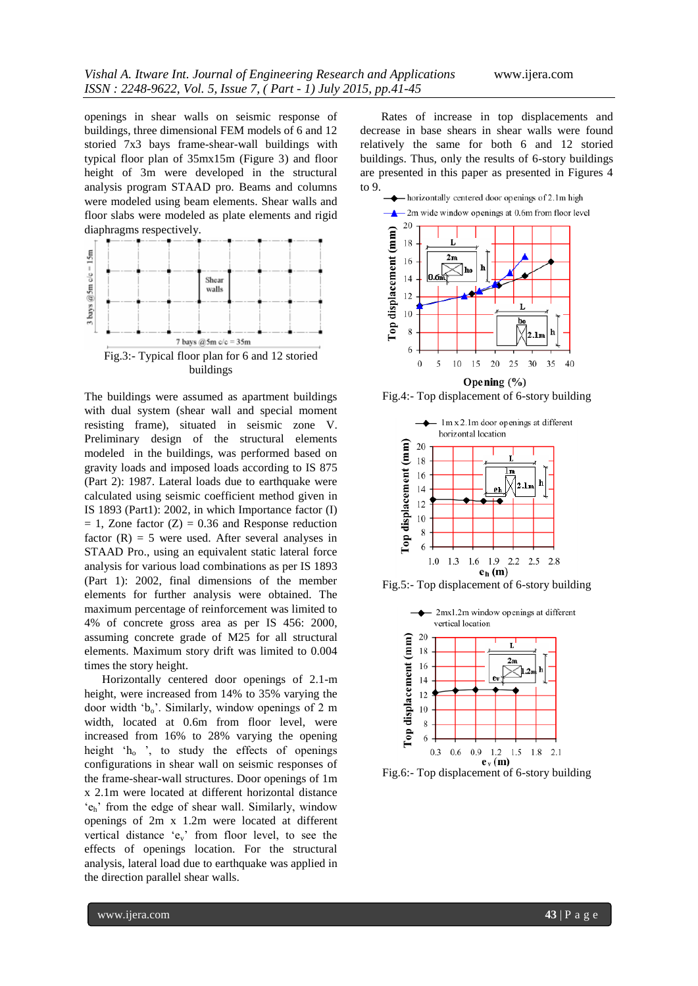openings in shear walls on seismic response of buildings, three dimensional FEM models of 6 and 12 storied 7x3 bays frame-shear-wall buildings with typical floor plan of 35mx15m (Figure 3) and floor height of 3m were developed in the structural analysis program STAAD pro. Beams and columns were modeled using beam elements. Shear walls and floor slabs were modeled as plate elements and rigid diaphragms respectively.



The buildings were assumed as apartment buildings with dual system (shear wall and special moment resisting frame), situated in seismic zone V. Preliminary design of the structural elements modeled in the buildings, was performed based on gravity loads and imposed loads according to IS 875 (Part 2): 1987. Lateral loads due to earthquake were calculated using seismic coefficient method given in IS 1893 (Part1): 2002, in which Importance factor (I)  $= 1$ , Zone factor (Z)  $= 0.36$  and Response reduction factor  $(R) = 5$  were used. After several analyses in STAAD Pro., using an equivalent static lateral force analysis for various load combinations as per IS 1893 (Part 1): 2002, final dimensions of the member elements for further analysis were obtained. The maximum percentage of reinforcement was limited to 4% of concrete gross area as per IS 456: 2000, assuming concrete grade of M25 for all structural elements. Maximum story drift was limited to 0.004 times the story height.

 Horizontally centered door openings of 2.1-m height, were increased from 14% to 35% varying the door width ' $b_0$ '. Similarly, window openings of 2 m width, located at 0.6m from floor level, were increased from 16% to 28% varying the opening height  $h_0$ , to study the effects of openings configurations in shear wall on seismic responses of the frame-shear-wall structures. Door openings of 1m x 2.1m were located at different horizontal distance 'eh' from the edge of shear wall. Similarly, window openings of 2m x 1.2m were located at different vertical distance 'ev' from floor level, to see the effects of openings location. For the structural analysis, lateral load due to earthquake was applied in the direction parallel shear walls.

Rates of increase in top displacements and decrease in base shears in shear walls were found relatively the same for both 6 and 12 storied buildings. Thus, only the results of 6-story buildings are presented in this paper as presented in Figures 4 to 9.



Fig.4:- Top displacement of 6-story building



Fig.5:- Top displacement of 6-story building



Fig.6:- Top displacement of 6-story building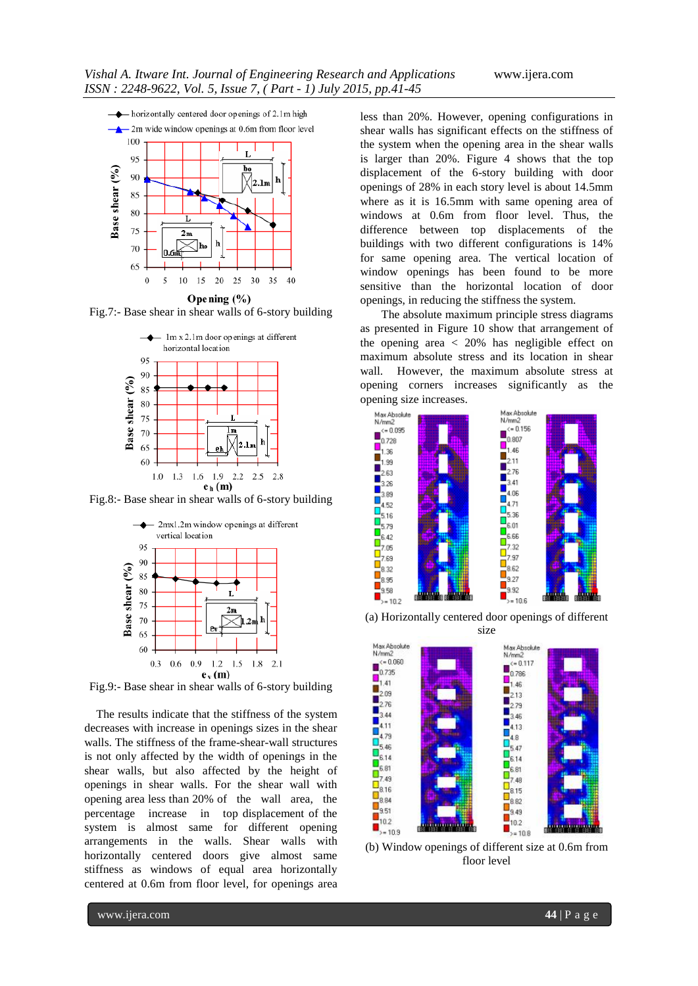

Opening (%)

Fig.7:- Base shear in shear walls of 6-story building



Fig.8:- Base shear in shear walls of 6-story building



Fig.9:- Base shear in shear walls of 6-story building

The results indicate that the stiffness of the system decreases with increase in openings sizes in the shear walls. The stiffness of the frame-shear-wall structures is not only affected by the width of openings in the shear walls, but also affected by the height of openings in shear walls. For the shear wall with opening area less than 20% of the wall area, the percentage increase in top displacement of the system is almost same for different opening arrangements in the walls. Shear walls with horizontally centered doors give almost same stiffness as windows of equal area horizontally centered at 0.6m from floor level, for openings area

less than 20%. However, opening configurations in shear walls has significant effects on the stiffness of the system when the opening area in the shear walls is larger than 20%. Figure 4 shows that the top displacement of the 6-story building with door openings of 28% in each story level is about 14.5mm where as it is 16.5mm with same opening area of windows at 0.6m from floor level. Thus, the difference between top displacements of the buildings with two different configurations is 14% for same opening area. The vertical location of window openings has been found to be more sensitive than the horizontal location of door openings, in reducing the stiffness the system.

The absolute maximum principle stress diagrams as presented in Figure 10 show that arrangement of the opening area < 20% has negligible effect on maximum absolute stress and its location in shear wall. However, the maximum absolute stress at opening corners increases significantly as the opening size increases.



(a) Horizontally centered door openings of different



(b) Window openings of different size at 0.6m from floor level